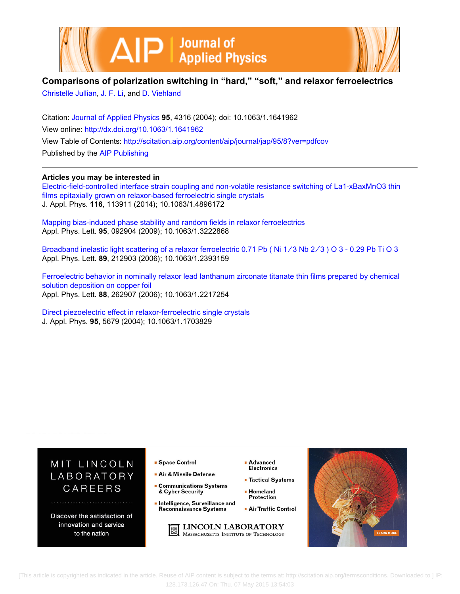



## **Comparisons of polarization switching in "hard," "soft," and relaxor ferroelectrics**

[Christelle Jullian,](http://scitation.aip.org/search?value1=Christelle+Jullian&option1=author) [J. F. Li](http://scitation.aip.org/search?value1=J.+F.+Li&option1=author), and [D. Viehland](http://scitation.aip.org/search?value1=D.+Viehland&option1=author)

Citation: [Journal of Applied Physics](http://scitation.aip.org/content/aip/journal/jap?ver=pdfcov) **95**, 4316 (2004); doi: 10.1063/1.1641962 View online: <http://dx.doi.org/10.1063/1.1641962> View Table of Contents: <http://scitation.aip.org/content/aip/journal/jap/95/8?ver=pdfcov> Published by the [AIP Publishing](http://scitation.aip.org/content/aip?ver=pdfcov)

### **Articles you may be interested in**

[Electric-field-controlled interface strain coupling and non-volatile resistance switching of La1-xBaxMnO3 thin](http://scitation.aip.org/content/aip/journal/jap/116/11/10.1063/1.4896172?ver=pdfcov) [films epitaxially grown on relaxor-based ferroelectric single crystals](http://scitation.aip.org/content/aip/journal/jap/116/11/10.1063/1.4896172?ver=pdfcov) J. Appl. Phys. **116**, 113911 (2014); 10.1063/1.4896172

[Mapping bias-induced phase stability and random fields in relaxor ferroelectrics](http://scitation.aip.org/content/aip/journal/apl/95/9/10.1063/1.3222868?ver=pdfcov) Appl. Phys. Lett. **95**, 092904 (2009); 10.1063/1.3222868

Broadband inelastic light scattering of a relaxor ferroelectric 0.71 Pb (Ni 1/3 Nb 2/3) O 3 - 0.29 Pb Ti O 3 Appl. Phys. Lett. **89**, 212903 (2006); 10.1063/1.2393159

[Ferroelectric behavior in nominally relaxor lead lanthanum zirconate titanate thin films prepared by chemical](http://scitation.aip.org/content/aip/journal/apl/88/26/10.1063/1.2217254?ver=pdfcov) [solution deposition on copper foil](http://scitation.aip.org/content/aip/journal/apl/88/26/10.1063/1.2217254?ver=pdfcov) Appl. Phys. Lett. **88**, 262907 (2006); 10.1063/1.2217254

[Direct piezoelectric effect in relaxor-ferroelectric single crystals](http://scitation.aip.org/content/aip/journal/jap/95/10/10.1063/1.1703829?ver=pdfcov) J. Appl. Phys. **95**, 5679 (2004); 10.1063/1.1703829



 [This article is copyrighted as indicated in the article. Reuse of AIP content is subject to the terms at: http://scitation.aip.org/termsconditions. Downloaded to ] IP: 128.173.126.47 On: Thu, 07 May 2015 13:54:03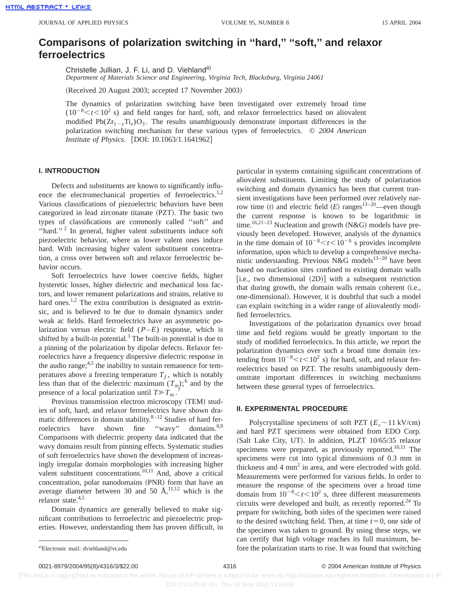# **Comparisons of polarization switching in ''hard,'' ''soft,'' and relaxor ferroelectrics**

Christelle Jullian, J. F. Li, and D. Viehland<sup>a)</sup>

*Department of Materials Science and Engineering, Virginia Tech, Blacksburg, Virginia 24061*

(Received 20 August 2003; accepted 17 November 2003)

The dynamics of polarization switching have been investigated over extremely broad time  $(10^{-8} < t < 10^{2}$  s) and field ranges for hard, soft, and relaxor ferroelectrics based on aliovalent modified  $Pb(Zr_{1-x}Ti_x)O_3$ . The results unambiguously demonstrate important differences in the polarization switching mechanism for these various types of ferroelectrics. © *2004 American Institute of Physics.* [DOI: 10.1063/1.1641962]

#### **I. INTRODUCTION**

Defects and substituents are known to significantly influence the electromechanical properties of ferroelectrics.<sup>1,2</sup> Various classifications of piezoelectric behaviors have been categorized in lead zirconate titanate (PZT). The basic two types of classifications are commonly called ''soft'' and "hard."<sup>2</sup> In general, higher valent substituents induce soft piezoelectric behavior, where as lower valent ones induce hard. With increasing higher valent substituent concentration, a cross over between soft and relaxor ferroelectric behavior occurs.

Soft ferroelectrics have lower coercive fields, higher hysteretic losses, higher dielectric and mechanical loss factors, and lower remanent polarizations and strains, relative to hard ones.<sup>1,2</sup> The extra contribution is designated as extrinsic, and is believed to be due to domain dynamics under weak ac fields. Hard ferroelectrics have an asymmetric polarization versus electric field (*P*–*E*) response, which is shifted by a built-in potential.<sup>3</sup> The built-in potential is due to a pinning of the polarization by dipolar defects. Relaxor ferroelectrics have a frequency dispersive dielectric response in the audio range;  $4.5$  the inability to sustain remanence for temperatures above a freezing temperature  $T_f$ , which is notably less than that of the dielectric maximum  $(T_m)$ ;<sup>6</sup> and by the presence of a local polarization until  $T \gg T_m$ . 7

Previous transmission electron microscopy (TEM) studies of soft, hard, and relaxor ferroelectrics have shown dramatic differences in domain stability.<sup>8-12</sup> Studies of hard ferroelectrics have shown fine "wavy" domains.<sup>8,9</sup> Comparisons with dielectric property data indicated that the wavy domains result from pinning effects. Systematic studies of soft ferroelectrics have shown the development of increasingly irregular domain morphologies with increasing higher valent substituent concentrations.<sup>10,11</sup> And, above a critical concentration, polar nanodomains (PNR) form that have an average diameter between 30 and 50  $\AA$ ,<sup>11,12</sup> which is the relaxor state. $4,5$ 

Domain dynamics are generally believed to make significant contributions to ferroelectric and piezoelectric properties. However, understanding them has proven difficult, in particular in systems containing significant concentrations of aliovalent substituents. Limiting the study of polarization switching and domain dynamics has been that current transient investigations have been performed over relatively narrow time  $(t)$  and electric field  $(E)$  ranges<sup>13–20</sup>—even though the current response is known to be logarithmic in time.<sup>16,21–23</sup> Nucleation and growth  $(N&G)$  models have previously been developed. However, analysis of the dynamics in the time domain of  $10^{-8} < t < 10^{-6}$  s provides incomplete information, upon which to develop a comprehensive mechanistic understanding. Previous N&G models<sup>13-20</sup> have been based on nucleation sites confined to existing domain walls [i.e., two dimensional  $(2D)$ ] with a subsequent restriction that during growth, the domain walls remain coherent (i.e., one-dimensional). However, it is doubtful that such a model can explain switching in a wider range of aliovalently modified ferroelectrics.

Investigations of the polarization dynamics over broad time and field regions would be greatly important to the study of modified ferroelectrics. In this article, we report the polarization dynamics over such a broad time domain (extending from  $10^{-8} < t < 10^2$  s) for hard, soft, and relaxor ferroelectrics based on PZT. The results unambiguously demonstrate important differences in switching mechanisms between these general types of ferroelectrics.

#### **II. EXPERIMENTAL PROCEDURE**

Polycrystalline specimens of soft PZT  $(E_c \sim 11 \text{ kV/cm})$ and hard PZT specimens were obtained from EDO Corp. (Salt Lake City, UT). In addition, PLZT 10/65/35 relaxor specimens were prepared, as previously reported.<sup>10,11</sup> The specimens were cut into typical dimensions of 0.3 mm in thickness and  $4 \text{ mm}^2$  in area, and were electroded with gold. Measurements were performed for various fields. In order to measure the response of the specimens over a broad time domain from  $10^{-8} < t < 10^2$  s, three different measurements circuits were developed and built, as recently reported. $24$  To prepare for switching, both sides of the specimen were raised to the desired switching field. Then, at time  $t=0$ , one side of the specimen was taken to ground. By using these steps, we can certify that high voltage reaches its full maximum, before the polarization starts to rise. It was found that switching

a)Electronic mail: dviehland@vt.edu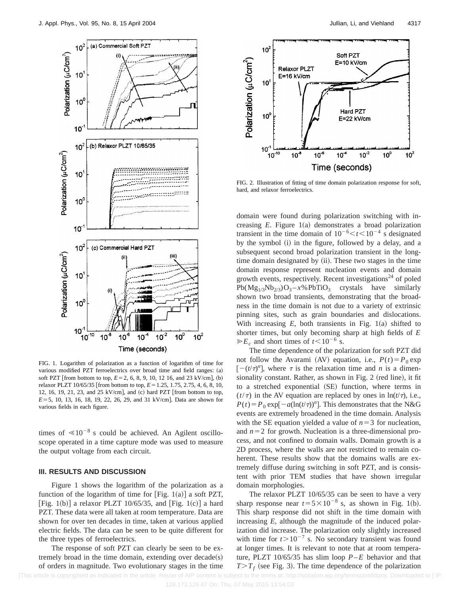

FIG. 1. Logarithm of polarization as a function of logarithm of time for various modified PZT ferroelectrics over broad time and field ranges: (a) soft PZT [from bottom to top,  $E = 2, 6, 8, 9, 10, 12, 16,$  and 23 kV/cm], (b) relaxor PLZT 10/65/35 [from bottom to top,  $E = 1.25$ , 1.75, 2.75, 4, 6, 8, 10, 12, 16, 19, 21, 23, and 25 kV/cm], and  $(c)$  hard PZT [from bottom to top,  $E=5$ , 10, 13, 16, 18, 19, 22, 26, 29, and 31 kV/cm]. Data are shown for various fields in each figure.

times of  $\leq 10^{-8}$  s could be achieved. An Agilent oscilloscope operated in a time capture mode was used to measure the output voltage from each circuit.

#### **III. RESULTS AND DISCUSSION**

Figure 1 shows the logarithm of the polarization as a function of the logarithm of time for [Fig. 1(a)] a soft PZT, [Fig. 1(b)] a relaxor PLZT 10/65/35, and [Fig. 1(c)] a hard PZT. These data were all taken at room temperature. Data are shown for over ten decades in time, taken at various applied electric fields. The data can be seen to be quite different for the three types of ferroelectrics.

The response of soft PZT can clearly be seen to be extremely broad in the time domain, extending over  $decade(s)$ of orders in magnitude. Two evolutionary stages in the time



FIG. 2. Illustration of fitting of time domain polarization response for soft, hard, and relaxor ferroelectrics.

domain were found during polarization switching with increasing  $E$ . Figure  $1(a)$  demonstrates a broad polarization transient in the time domain of  $10^{-6} < t < 10^{-4}$  s designated by the symbol (i) in the figure, followed by a delay, and a subsequent second broad polarization transient in the longtime domain designated by (ii). These two stages in the time domain response represent nucleation events and domain growth events, respectively. Recent investigations<sup>24</sup> of poled  $Pb(Mg_{1/3}Nb_{2/3})O_3 - x\% PbTiO_3$  crystals have similarly shown two broad transients, demonstrating that the broadness in the time domain is not due to a variety of extrinsic pinning sites, such as grain boundaries and dislocations. With increasing  $E$ , both transients in Fig. 1(a) shifted to shorter times, but only becoming sharp at high fields of *E*  $\gg E_c$  and short times of  $t < 10^{-6}$  s.

The time dependence of the polarization for soft PZT did not follow the Avarami (AV) equation, i.e.,  $P(t) = P_0 \exp(-\frac{E_0 t}{2})$  $[-(t/\tau)^n]$ , where  $\tau$  is the relaxation time and *n* is a dimensionality constant. Rather, as shown in Fig. 2 (red line), it fit to a stretched exponential (SE) function, where terms in  $(t/\tau)$  in the AV equation are replaced by ones in  $\ln(t/\tau)$ , i.e.,  $P(t) = P_0 \exp[-a(\ln(t/\tau))^n]$ . This demonstrates that the N&G events are extremely broadened in the time domain. Analysis with the SE equation yielded a value of  $n=3$  for nucleation, and  $n=2$  for growth. Nucleation is a three-dimensional process, and not confined to domain walls. Domain growth is a 2D process, where the walls are not restricted to remain coherent. These results show that the domains walls are extremely diffuse during switching in soft PZT, and is consistent with prior TEM studies that have shown irregular domain morphologies.

The relaxor PLZT 10/65/35 can be seen to have a very sharp response near  $t=5\times10^{-8}$  s, as shown in Fig. 1(b). This sharp response did not shift in the time domain with increasing *E*, although the magnitude of the induced polarization did increase. The polarization only slightly increased with time for  $t > 10^{-7}$  s. No secondary transient was found at longer times. It is relevant to note that at room temperature, PLZT 10/65/35 has slim loop *P*–*E* behavior and that  $T>T_f$  (see Fig. 3). The time dependence of the polarization